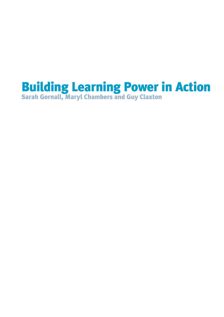# Building Learning Power in Action Sarah Gornall, Maryl Chambers and Guy Claxton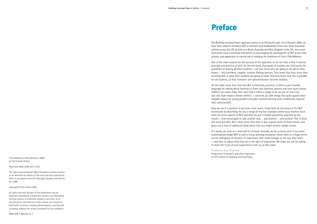# Preface

First published in Great Britain in 2005 by TLO Limited, Bristol.

Reprinted 2006, 2009, 2011, 2013.

The right of Sarah Gornall, Maryl Chambers and Guy Claxton to be identified as authors of this work has been asserted by them in accordance with the Copyright, Designs and Patents Act 1988.

Copyright © TLO Limited 2005

All rights reserved. No part of this publication may be reprinted, reproduced, transmitted, stored in an information retrieval system, or otherwise utilised in any form, or by any electronic, mechanical or other means, now known or hereinafter invented, including photocopying, scanning and recording, without the written permission of the publishers.

ISBN 978-1-901219-51-7

The Building Learning Power approach seems to be hitting the spot. As of October 2005, we have been asked to introduce BLP to teachers and headteachers from over three thousand schools across the UK, as well as in Brazil, Australia and New Zealand. In the UK, nine Local Authorities have committed themselves to encouraging the development of BLP across their schools, and appreciate its central role in realising the ambitions of *Every Child Matters*.

One of the main reasons for the success of the approach, so we are told, is that it marries principle and practice so well. On the one hand, thousands of teachers are fired up by the possibility of making all their students — not just those who are going to do well in their exams — into confident, capable, creative lifelong learners. They know that that, more than anything else, is what their students are going to need. And they know that this is possible for all students, so that 'inclusion' and 'personalisation' become realities.

On the other hand, they find that BLP is eminently practical. It offers a user-friendly language for talking about learning-to-learn that teachers, parents and even quite young children can easily make their own. And it offers a range of (as we put it) *'low-cost, low-risk, high-impact climate shifters'* — concrete, do-able things that quite quickly have tangible impact on young people's attitudes towards learning (and, incidentally, improve

their achievement).

Now we are in a position to put even more warm, living flesh on the bones of the BLP framework, by describing for you a range of real live examples where busy teachers have tried out some aspects of BLP, and been (to put it mildly) pleasantly surprised by the results — and encouraged to take another step … and another … and another. That is what this book provides. But it does more than that. It also unpicks some of these stories, and gives you a host of additional ideas about how you might achieve similar results.

If it works, do write or e-mail and let us know. Actually, do let us know even if you meet unanticipated snags! BLP is itself a living, learning enterprise, which relies to a huge extent on the willingness of teachers to experiment with small changes to the way they teach — and then to adjust what they do in the light of experience. We hope you will be willing to share the fruits of your experiments with us, as they ripen.

**Professor Guy Claxton** Programme Consultant, and chief inspiration, to TLO Limited for Building Learning Power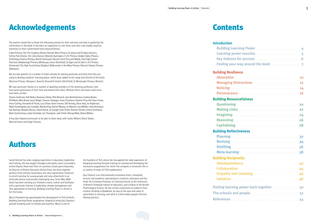# Authors



# Acknowledgements **Contents**

The authors would like to thank the following schools for their welcome and help in gathering the information in this book. It has been an inspiration to visit them, and their case studies stand as testimony to their commitment and resourcefulness:

Cabot Primary, The City Academy Bristol, Hannah More Primary, St James and St Agnes Nursery, Sefton Park Infants, The Limes Nursery (Bristol); Burrington C of E Primary, Golden Valley Primary, St Nicholas Chantry Primary (North Somerset); Newton Farm First and Middle, Park High School (Harrow); Mosborough Primary, Whiteways Junior (Sheffield); St Vigor and St John C of E Primary (Somerset); The High Arcal School (Dudley); Widecombe in the Moor Primary (Devon); Neston Primary (Wiltshire).

We are also grateful to a number of other schools for sharing particular activities that they are using to develop students' learning power, which have added to the range and interest of the book: Monnow Primary (Newport, Gwent); Broomhill Infants (Sheffield); St Werburghs Primary (Bristol).

## **Building Resource**

We owe particular thanks to a number of sparkling members of the teaching profession who have given generously of their time and shared their ideas. Without them, this book could never have been written:

- **Imagining**
- **Reasoning . . . .**
- **Capitalising** . .

## **Building Reflectiv**

- **Planning** . .**32 Revising . . . . . .**
- **Distilling** . **36**
- **Meta-learning**

# **Building Reciproci**

Sharon Anderson, Bob Bailey, Rosemary Bailey, Nick Banwell, Jane Bartholomew, Lindsay Baxter, Gill Bland, Mike Broad, Jenny Bright, Carmen Cadwgan, Anne Chambers, Heather Churchill, Dave Cooke, Anna Cutting, Armando di Finizio, Lucy Driver, Karen Farmer, Gill Fleming, Steve Heal, Jo Hopkinson, Malie Kanathigoda, Jan Lonsdale, Mandy King, Rachel Mackay, Jo Manson, Lisa Middle, Linda Nicholson, Sue Ramsay, Natasha Reeves, Alison Russé, Jo Scargill, Clare Smith, Norbert Stricker, Emma Strickland, Brian Summerhays, Julian Swindale, Jan Thompson, Julia Timlin, Morag Wilby, Kharis Wilkins.

It has also helped enormously to be able to share ideas with Lesley Millard, Diane Stokes, Mererid Stone and Hugh Thomas.

### **Introduction**

### **Building Resilience**

| <b>Building Resilience</b>                                                                                     |  |
|----------------------------------------------------------------------------------------------------------------|--|
|                                                                                                                |  |
| Managing Distractions Managing and Managing Distractions and Managing and Managing and Managing and Managing a |  |
|                                                                                                                |  |
|                                                                                                                |  |
| <b>Building Resourcefulness</b>                                                                                |  |
|                                                                                                                |  |
|                                                                                                                |  |
|                                                                                                                |  |
|                                                                                                                |  |
|                                                                                                                |  |
| <b>Building Reflectiveness</b>                                                                                 |  |
|                                                                                                                |  |
|                                                                                                                |  |
|                                                                                                                |  |
|                                                                                                                |  |
| <b>Building Reciprocity</b>                                                                                    |  |
|                                                                                                                |  |
|                                                                                                                |  |
| Empathy and Listening Manuscript and Superintending 46                                                         |  |
|                                                                                                                |  |
| Putting learning power back together 50                                                                        |  |
|                                                                                                                |  |
|                                                                                                                |  |
|                                                                                                                |  |

Sarah Gornall has wide-ranging experience in education, leadership and training. She has taught teenagers and adults, been a secondary school Deputy Head and Chair of a primary school governing body. As Director of Bristol Education Action Zone, she drew together partners from schools, businesses, arts and regeneration initiatives to enrich learning for young people and raise attainment in an ethnically diverse and socially challenging area. Since May 2005 Sarah has been working as a freelance coach, trainer and facilitator with a particular interest in leadership, change management and new approaches to learning. *Building Learning Power in Action* is her first book.

Maryl Chambers has spearheaded the development of TLO Limited's Building Learning Power programme, helping to bring Guy Claxton's ground-breaking work to schools and teachers. Maryl is one of

the founders of TLO, where she has applied her wide experience of designing learning-focused training to creating and developing the innovative programmes for which the company is renowned. She is co-author of many of TLO's publications.

Guy Claxton is an internationally acclaimed writer, consultant, lecturer and academic, specialising in creativity, education and the mind. He is Visiting Professor of Learning Science at the University of Bristol's Graduate School of Education, and a Fellow of the British Psychological Society. He has written extensively on subjects from creative thinking to Buddhism, by way of the uses and value of uncertainty in learning, and what it is that makes people effective lifelong learners.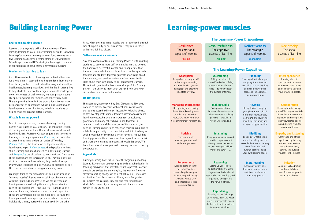# Building Learning Power





#### **Everyone's talking about it**

It seems that everyone is talking about learning — lifelong learning, learning to learn, Primary learning networks, Networked Learning Communities, learning conversations, to name just a few. Learning has become a central strand of DfES initiatives, Ofsted inspections, and NCSL strategies. Learning in the world of education has, at last, become a common enthusiasm.

#### **Moving on in learning to learn**

An enthusiasm for better learning has motivated teachers for a long time. In attempting to help students learn more or learn better, we tried to understand learning styles, multiple intelligences, learning modalities, and the like. In attempting to help students improve their organisation of knowledge or the effectiveness of their memory we used practical tools like spider diagrams, mnemonics, and other study skills. These approaches have laid the ground for a deeper, more permanent set of approaches, whose aim is to get beyond learning more, or learning better, to helping students to help themselves become better learners.

#### **What is learning power?**

One of these approaches, known as Building Learning Power, was created by Guy Claxton. This maps the territory of learning and shows the different elements of all-round learning fitness. Professor Claxton suggests that there are four major learning dispositions: *Resilience*, the disposition to attend to learning and persist under difficulties; *Resourcefulness*, the disposition to deploy a variety of learning strategies; *Reflectiveness*, the disposition to think about learning and about oneself as a developing learner; and *Reciprocity*, the disposition to learn with and from others. These dispositions are inherent in us all. They are not fixed at birth, or when we leave school; they can be developed by everyone regardless of 'ability', social background or age. There are no limits to extending our learning power.

We might think of the dispositions as being like groups of 'learning muscles'. Just as we can build our physical muscles with the right kinds of exercise, so we can exercise our learning muscles to develop their strength and stamina. Each of the dispositions  $-$  the four R's  $-$  is made up of a number of learning behaviours, which we call capacities. These are summarised on the page opposite. Because the learning capacities are quite specific in nature, they can be individually trained, nurtured and exercised. On the other

hand, when these learning muscles are not exercised, through lack of opportunity or encouragement, they can so easily wither and fall into disuse.

#### **Self-awareness as learners**

A central concern of Building Learning Power is with enabling students to become more self-aware as learners, to develop the habits of a successful learner, and to appreciate that they can continually improve those habits. In this approach, teachers and students together generate knowledge about their learning, and produce a stream of ever more fertile ideas about their own ability to be independent learners. The ultimate goal is what has been called *portable learning power* — the ability to learn what we need to in whatever circumstances we may find ourselves.

#### **No flat-packs**

Knowing how to manage yourself in the give and take of a collaborative venture, respecting and recognising other viewpoints; adding to and drawing from the strength of teams.

The approach, as pioneered by Guy Claxton and TLO, does not aim to provide teachers with neat boxes of resources that can be assembled into set lessons by following sheets of step-by-step instructions. Teachers, classroom assistants, learning mentors, behaviour management consultants, governors, and many others have joined together in TLO courses to understand the principles of the approach, to develop learning enquiries, to reflect on their learning, and to relish the opportunity to put creativity back into teaching. A small proportion of the schools which have started building learning power in their classrooms have agreed to take a risk and share their learning in progress through this book. We hope their adventurous spirit will encourage others to take up the approach.

#### **A great start**

Building Learning Power is still near the beginning of a long journey. Its common-sense principles belie a sophistication in teaching behaviours that may take years to perfect. Teachers, though, are excited by, and enjoying, the journey. They are already reporting changes in student behaviour — increased motivation, fewer behaviour problems, and a far greater enthusiasm for learning. They are also reporting leaps in students' attainment, and an eagerness in themselves to remain in the profession.

## **The Learning-Power Dispositions**

**Resilience** The emotional aspects of learning **Feeling**

#### **Absorption**

Being able to lose yourself in learning — becoming absorbed in what you are doing; rapt and attentive, in a state of 'flow'.

#### **Managing Distractions**

Recognising and reducing distractions; knowing when to walk away and refresh yourself. Creating your own best environment for learning.

#### **Noticing**

Perceiving subtle nuances, patterns and details in experience.

#### **Perseverance**

Keeping going on in the face of difficulties, channelling the energy of frustration productively. Knowing what a slow and uncertain process learning often is.

**Resourcefulness** The cognitive aspects of learning **Thinking**

**Questioning** Asking questions of yourself and others. Being curious and playful with ideas — delving beneath the surface of things.

**Making Links** Seeing connections between disparate events and experiences — building patterns — weaving a web of understanding.

**Imagining** Using your imagination and intuition to put yourself through new experiences or to explore possibilities. Wondering *What if ...?*

# **Reasoning**

Calling up your logical and rational skills to work things out methodically and rigorously; constructing good arguments, and spotting the flaws in others'.

### **Capitalising**

Drawing on the full range of resources from the wider world —other people, books, the Internet, past experience, future opportunities ...

**Reflectiveness** The strategic aspects of learning

**Managing**

#### **Planning**

Thinking about where you are going, the action you are going to take, the time and resources you will need, and the obstacles you may encounter.

#### **Revising**

Being flexible, changing your plans in the light of different circumstances, monitoring and reviewing how things are going and seeing new opportunities.

#### **Distilling**

Looking at what is being learned — pulling out the essential features — carrying them forward to aid further learning; being your own learning coach.

#### **Meta-learning**

Knowing yourself as a learner — how you learn best; how to talk about the learning process.

**Reciprocity** The social aspects of learning

**Relating**

#### **Interdependence**

Knowing when it's appropriate to learn on your own or with others, and being able to stand your ground in debate.

#### **Collaboration**

#### **Empathy and Listening**

Contributing to others' experiences by listening to them to understand what they are really saying, and putting yourself in their shoes.

#### **Imitation**

Constructively adopting methods, habits or values from other people whom you observe.

# Learning-power muscles

# **The Learning-Power Capacities**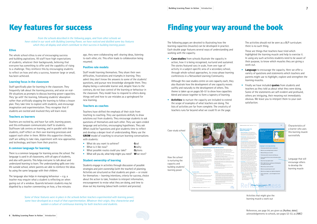The language also helps in managing behaviour  $-$  e.g. a teacher may enquire what a student is reflecting on when gazing out of a window. Quarrels between students may be dispelled by a teacher commenting on how, a few minutes



#### **Ethos**

The whole school ethos is one of encouraging success and building aspirations. All staff have high expectations of students, whatever their backgrounds, believing that everyone has something to offer and the capability of rising to a challenge. They reinforce this by encouraging students to reflect on how and why a success, however large or small, has been achieved.

#### **Learning focus in the classroom**

Staff specifically plan for learning in the classroom. They frequently talk about the learning process, and seize on reallife situations as prompts to discuss learning-power capacities. They 'go with' the learning, following students' absorption rather than artificially stopping the learning to follow a lesson plan. They take time to explore with students, and encourage imagination and experimentation. They recognise that if students are excited and involved they will learn more.

#### **Teachers as learners**

Teachers are excited by, and have fun with, learning power, and this enthusiasm communicates itself to students. Staffroom talk centres on learning, and in parallel with their students, staff reflect on their own learning processes and support each other in them. Within this supportive climate, staff are willing to take risks, experiment with new approaches and technology, and learn from their practice.

#### **A common language for learning**

There is a common language for learning across the school. The language is used in all classrooms, with all ages of students, and also with parents. This helps everyone to talk about and understand learning to learn. The understanding spills over into life outside school, where parents are able to reinforce the ideas by using the same language with their children.

ago, they were collaborating well: sharing ideas, listening to each other, etc. This often leads to collaboration being resumed.

#### **Positive role models**

Staff model learning themselves. They share their own difficulties, frustrations and triumphs in learning. They admit they don't know the answers to some of the students' questions, and pursue new knowledge alongside them. They display being a vulnerable learner and, despite fears to the contrary, do not lose control of the learning or behaviour in the classroom. They model how to respond to others doing things well and how to use mistakes as a springboard for new learning.

#### **Teachers as coaches**

Teachers have shifted the emphasis of their style from teaching to coaching. They use questions skilfully to draw solutions out from students. They encourage students to ask questions of themselves and each other. They use open-ended language and activities, encouraging hypotheses. They ask *What could be?* questions and give students time to reflect and develop a deeper level of understanding. Many use the **GROW** model of coaching to structure learning conversations with students:

- What do you want to achieve? **G**oal
- What is it like now? **R**eality
- What possible routes could you take? **O**ptions
- What will you do, what help might you need? **W**hat next?

#### **Student ownership of learning**

Students engage in activities through discussion of possible strategies and joint ownership (with the teacher) of planning. Activities are structured so that students are given — or create for themselves — learning intentions, criteria for success, choice about the action to take, freedom to interpret information, encouragement to revise what they are doing, and time to draw out key learning (about both content and process).

# Key features for success **Finding your way around the book**

The following pages are devoted to illustrating how the learning capacities (muscles) can be developed in practice. Each double page features several ways of understanding and working with the capacity.

• **Case studies** from schools illustrate the capacity in action, how it is being recognised, nurtured and sustained. The stories featured vary in scale, from one type of activity in a subject-specific area of a secondary school, through whole-school approaches, to cross-phase learning conferences in a Networked Learning Community.

Although the case studies centre on one capacity each, they also illustrate how the development of one capacity moves swiftly and naturally to the development of others. This theme is taken up on pages 50–51 to show how capacities blend and weave together to form a tapestry of learning.

• **Activities** to nurture the capacity are included to extend the scope of examples of what teachers are doing. The lists of activities are far from complete. The creativity of teachers runs far beyond what we could fit on the page.

The activities should not be seen as a BLP curriculum: there is no such thing.

These are things that teachers have tried which highlighted the learning muscle and help to exercise it. In using any such activities students need to be aware of their purpose, to know which muscles they are giving a work-out.

- **Language** to encourage the capacity. Here we offer a variety of questions and statements which teachers and parents might use to highlight, explore and strengthen the learning muscles.
- Finally we have included **quotes** from students and teachers as they told us about what they were doing. Some of the statements are self-evident and profound, others are intriguing, their meaning not immediately obvious. We leave you to interpret them to your own satisfaction.

*From the schools described in the following pages, and from other schools we have visited in our work with Building Learning Power, we have noticed and distilled some key features which they all display and which contribute to their success in building learning power.* 

*Some of these features were in place in the schools before teachers experimented with learning power; some have developed as a result of that experimentation. Whatever their origin, they characterise and sustain a culture of continuous learning for both teachers and students.*

Activities that might give the learning muscle a work-out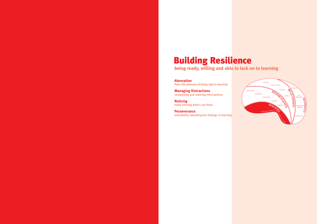

# Building Resilience

being ready, willing and able to lock on to learning

**Absorption flow; the pleasure of being rapt in learning**

**Managing Distractions recognising and reducing interruptions**

**Noticing really sensing what's out there**

**Perseverance stickability; tolerating the feelings of learning**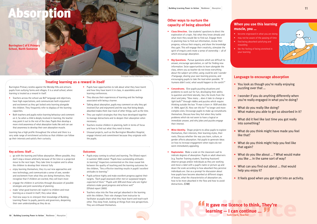

## **Other ways to nurture the capacity of being absorbed**

- **Class Direction.** Use students' questions to direct the exploration of a topic. Ask what they know already and what more they would like to find out. Engage them in planning how to find out information, review their progress, refocus their enquiry, and share the knowledge they gain. This will engage their creativity, stimulate the spirit of enquiry and create a sense of ownership — all of which encourage absorption.
- **Big Questions.** Pursue questions which are difficult to answer, encourage speculation, or call for finding new information. Seize opportunities to learn alongside the class, where you as teacher do not know everything about the subject yet either, using *could be* and *I wonder if* language, sharing your own learning process, and encouraging pupils to take the lead when possible. *"If humans didn't exist, what would happen to the earth?"*
- **Conundrums.** Give pupils puzzling situations and problems to work out for fun, developing their ability to question and think laterally. Vary the levels from the short and jokey *"How many ... does it take to change a light bulb?"* through riddles and puzzles which require thinking outside the box *"A man is born in 1939 and dies in 1904, aged 35. How can this be?"* to longer and more complex ones. Encourage pupils to make up conundrums themselves. Discuss how they feel when they tackle problems which do not seem to have a logical or immediate answer, and why jokes and puzzles engage their interest.
- **Mine Identity.** Shape projects to allow pupils to explore themselves, their interests, their learning styles, their roots. Discuss whether the way you learn, culture, or gender affects absorption. Ask pupils to generate ideas on how to increase engagement when topics do not seem immediately appealing.
- **Raptometer.** Make a scale on the classroom wall to indicate degrees of absorption. Pupils or adult observers (e.g. Teacher Training student, Teaching Assistant) observe groups and/or individuals as they are working and move a label with a pupil's name or picture up and down the scale according to how absorbed they perceive individuals are. Use as a prompt for discussion about how pupils have become absorbed at different stages of lesson, what the characteristics of absorption are, how to be more absorbed in the flow and how to avoid distractions. *(CAB)*
- You look as though you're really enjoying puzzling over that …
- I wonder if you do anything differently when you're really engaged in what you're doing?
- What do you really like doing? What makes you able to get so absorbed in it?
- What did it feel like last time you got really into something?
- What do you think might have made you feel like that?
- What do you think might help you feel like that again?
- What do you like about ...? What would make you like … in the same sort of way?
- What can you find out about ... that would help you enjoy it?
- It feels good when you get right into an activity.



- Teachers across the school use BLP language and objectives. have high expectations, and communicate both enjoyment and excitement as they get locked onto learning alongside the children. They frequently refer to displays of the learning capacities.
- Both teachers and pupils notice learning behaviour and comment on it. So when a child is deeply involved in learning, the teacher may point it out to the rest of the class. Pupils then develop a more vivid awareness of what absorption looks like and can use that awareness to develop their own absorption muscle.

## **Language to encourage absorption**

- $\rightarrow$  go with the learning and follow absorption. Where possible, they don't stop a lesson arbitrarily because of the time or a projected move to the next topic. They take time to explore and to allow the children to develop their interest fully
- $\rightarrow$  enjoy learning themselves; they try out new approaches and new technology, and communicate a sense of awe, wonder and excitement from what they are doing themselves; they recognise that if children are excited, they will learn more
- **<sup>&</sup>gt;** engage the children in activities through discussion of possible strategies and joint ownership of planning
- **<sup>&</sup>gt;** make 'what good learners do' explicit to children and treat learning as a reward in itself; they value ideas
- $\rightarrow$  find new ways to re-interpret their knowledge of Building Learning Power to pupils, parents and governors, deepening their own understanding as they do so.

## **When you use this learning muscle, you …**

- become engrossed in what you are doing • may not be aware of the passing of time • find being absorbed satisfying and
- rewarding • like the feeling of being stretched in
	- your learning



# DSOM

**Burrington C of E Primary School, North Somerset**

Burrington Primary nestles against the Mendip Hills and attracts pupils from outlying farms and villages. It is a small school, where learning is treated as a reward in itself.

Learning has a high profile throughout the school and there is a very wide range of enrichment activities so that children can follow up their interests and satisfy their curiosity.

- Pupils have opportunities to talk about what they have learnt and how they have learnt it in class, in assemblies and in learning conferences.
- They discuss their experiences of learning and the feelings associated with being a learner.
- Talking about absorption, pupils may comment on why they get involved (fun and enjoyment) and the way that being deeply absorbed makes them lose track of other things, such as the time.
- They use explicit strategies that they have developed together to manage distractions and to deepen their absorption when necessary.
- Teachers involve children in planning, both in terms of focus and how to find out what they need to know.
- Unusual projects, such as the Burrington Woodlice Hospital, engage interest and commitment because they originate with the pupils.

## **Key actions: Staff …**

#### **Outcomes**

- Pupils enjoy coming to school and learning. The Ofsted report in summer 2005 stated *"Pupils have outstanding attitudes to learning"*. Inspectors commented on the close causal link between the quality of teaching and the learning outcomes for the children, *"Very effective teaching results in pupils' excellent attitudes to learning."*
- Pupils achieve highly and make excellent progress against their targets. *"Each pupil assessed either met or surpassed targets expected of them." "Pupils with SEN and those who are higher attainers make good progress and achieve well."* (Ofsted report 2005)
- Teachers relax into the flow and get absorbed in the learning with the children. Their role changes from instructor to facilitator as pupils share what they have learnt and teach each other. They keep fresh, looking at things from new perspectives. They are enthused themselves.

# **Treating learning as a reward in itself**



Photograph courtesy of Burrington Primary School